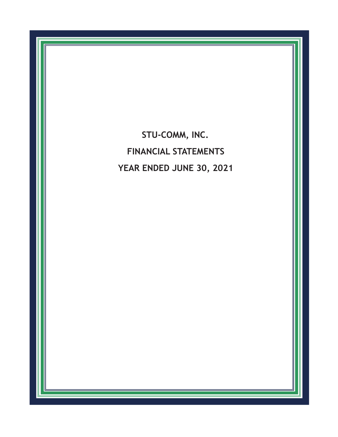STU-COMM, INC. **FINANCIAL STATEMENTS YEAR ENDED JUNE 30, 20**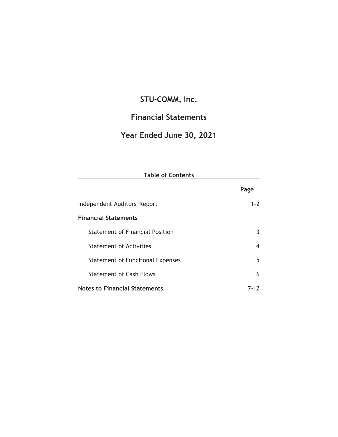# **Financial Statements**

# **Year Ended June 30, 2021**

| <b>Table of Contents</b>                |         |
|-----------------------------------------|---------|
|                                         | Page    |
| Independent Auditors' Report            | $1 - 2$ |
| <b>Financial Statements</b>             |         |
| <b>Statement of Financial Position</b>  |         |
| Statement of Activities                 | 4       |
| <b>Statement of Functional Expenses</b> | 5       |
| <b>Statement of Cash Flows</b>          | 6       |
| <b>Notes to Financial Statements</b>    | 7-17    |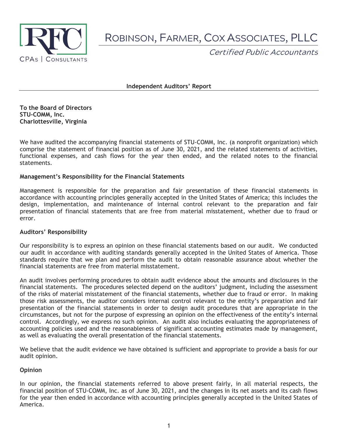

# ROBINSON, FARMER, COX ASSOCIATES, PLLC

Certified Public Accountants

#### **Independent Auditors' Report**

**To the Board of Directors STU-COMM, Inc. Charlottesville, Virginia**

We have audited the accompanying financial statements of STU-COMM, Inc. (a nonprofit organization) which comprise the statement of financial position as of June 30, 2021, and the related statements of activities, functional expenses, and cash flows for the year then ended, and the related notes to the financial statements.

#### **Management's Responsibility for the Financial Statements**

Management is responsible for the preparation and fair presentation of these financial statements in accordance with accounting principles generally accepted in the United States of America; this includes the design, implementation, and maintenance of internal control relevant to the preparation and fair presentation of financial statements that are free from material misstatement, whether due to fraud or error.

#### **Auditors' Responsibility**

Our responsibility is to express an opinion on these financial statements based on our audit. We conducted our audit in accordance with auditing standards generally accepted in the United States of America. Those standards require that we plan and perform the audit to obtain reasonable assurance about whether the financial statements are free from material misstatement.

An audit involves performing procedures to obtain audit evidence about the amounts and disclosures in the financial statements. The procedures selected depend on the auditors' judgment, including the assessment of the risks of material misstatement of the financial statements, whether due to fraud or error. In making those risk assessments, the auditor considers internal control relevant to the entity's preparation and fair presentation of the financial statements in order to design audit procedures that are appropriate in the circumstances, but not for the purpose of expressing an opinion on the effectiveness of the entity's internal control. Accordingly, we express no such opinion. An audit also includes evaluating the appropriateness of accounting policies used and the reasonableness of significant accounting estimates made by management, as well as evaluating the overall presentation of the financial statements.

We believe that the audit evidence we have obtained is sufficient and appropriate to provide a basis for our audit opinion.

# **Opinion**

In our opinion, the financial statements referred to above present fairly, in all material respects, the financial position of STU-COMM, Inc. as of June 30, 2021, and the changes in its net assets and its cash flows for the year then ended in accordance with accounting principles generally accepted in the United States of America.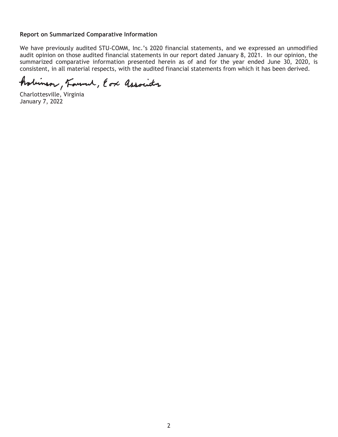# **Report on Summarized Comparative Information**

We have previously audited STU-COMM, Inc.'s 2020 financial statements, and we expressed an unmodified audit opinion on those audited financial statements in our report dated January 8, 2021. In our opinion, the summarized comparative information presented herein as of and for the year ended June 30, 2020, is consistent, in all material respects, with the audited financial statements from which it has been derived.

Artimson, Found, Cox Associaties

Charlottesville, Virginia January 7, 2022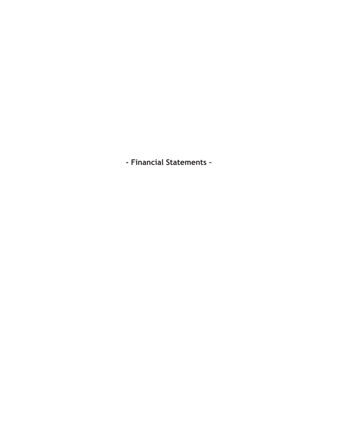**- Financial Statements –**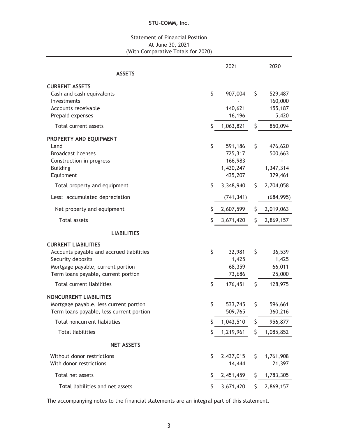# Statement of Financial Position (With Comparative Totals for 2020) At June 30, 2021

|                                                                                                                                                                               | 2021                                                                     |          | 2020                                                    |
|-------------------------------------------------------------------------------------------------------------------------------------------------------------------------------|--------------------------------------------------------------------------|----------|---------------------------------------------------------|
| <b>ASSETS</b>                                                                                                                                                                 |                                                                          |          |                                                         |
| <b>CURRENT ASSETS</b><br>\$<br>Cash and cash equivalents<br>Investments<br>Accounts receivable<br>Prepaid expenses                                                            | 907,004<br>140,621<br>16,196                                             | \$       | 529,487<br>160,000<br>155,187<br>5,420                  |
| Total current assets                                                                                                                                                          | \$<br>1,063,821                                                          | \$       | 850,094                                                 |
| PROPERTY AND EQUIPMENT<br>\$<br>Land<br><b>Broadcast licenses</b><br>Construction in progress<br><b>Building</b><br>Equipment<br>Total property and equipment                 | \$<br>591,186<br>725,317<br>166,983<br>1,430,247<br>435,207<br>3,348,940 | \$<br>\$ | 476,620<br>500,663<br>1,347,314<br>379,461<br>2,704,058 |
| Less: accumulated depreciation                                                                                                                                                | (741, 341)                                                               |          | (684, 995)                                              |
| \$<br>Net property and equipment                                                                                                                                              | 2,607,599                                                                | \$       | 2,019,063                                               |
| \$.<br><b>Total assets</b>                                                                                                                                                    | 3,671,420                                                                | \$       | 2,869,157                                               |
| <b>LIABILITIES</b>                                                                                                                                                            |                                                                          |          |                                                         |
| <b>CURRENT LIABILITIES</b><br>\$<br>Accounts payable and accrued liabilities<br>Security deposits<br>Mortgage payable, current portion<br>Term loans payable, current portion | 32,981<br>1,425<br>68,359<br>73,686                                      | \$       | 36,539<br>1,425<br>66,011<br>25,000                     |
| \$<br>Total current liabilities                                                                                                                                               | 176,451                                                                  | \$       | 128,975                                                 |
| <b>NONCURRENT LIABILITIES</b><br>\$<br>Mortgage payable, less current portion<br>Term loans payable, less current portion                                                     | 533,745<br>509,765                                                       | \$       | 596,661<br>360,216                                      |
| Total noncurrent liabilities<br>S                                                                                                                                             | 1,043,510                                                                | \$       | 956,877                                                 |
| \$<br><b>Total liabilities</b>                                                                                                                                                | 1,219,961                                                                | \$       | 1,085,852                                               |
| <b>NET ASSETS</b>                                                                                                                                                             |                                                                          |          |                                                         |
| \$<br>Without donor restrictions<br>With donor restrictions                                                                                                                   | 2,437,015<br>14,444                                                      | \$       | 1,761,908<br>21,397                                     |
| Total net assets<br>\$                                                                                                                                                        | 2,451,459                                                                | \$       | 1,783,305                                               |
| Ş<br>Total liabilities and net assets                                                                                                                                         | 3,671,420                                                                | \$.      | 2,869,157                                               |

The accompanying notes to the financial statements are an integral part of this statement.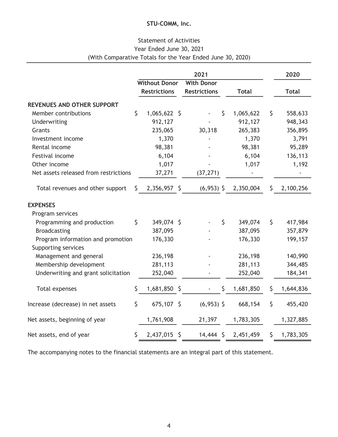# Statement of Activities Year Ended June 30, 2021 (With Comparative Totals for the Year Ended June 30, 2020)

|                                       |         |                      | 2021                |              | 2020            |
|---------------------------------------|---------|----------------------|---------------------|--------------|-----------------|
|                                       |         | <b>Without Donor</b> | <b>With Donor</b>   |              |                 |
|                                       |         | <b>Restrictions</b>  | <b>Restrictions</b> | <b>Total</b> | <b>Total</b>    |
| <b>REVENUES AND OTHER SUPPORT</b>     |         |                      |                     |              |                 |
| Member contributions                  | $\zeta$ | $1,065,622$ \$       | $\zeta$             | 1,065,622    | \$<br>558,633   |
| Underwriting                          |         | 912,127              |                     | 912,127      | 948,343         |
| Grants                                |         | 235,065              | 30,318              | 265,383      | 356,895         |
| Investment income                     |         | 1,370                |                     | 1,370        | 3,791           |
| Rental income                         |         | 98,381               |                     | 98,381       | 95,289          |
| Festival income                       |         | 6,104                |                     | 6,104        | 136,113         |
| Other income                          |         | 1,017                |                     | 1,017        | 1,192           |
| Net assets released from restrictions |         | 37,271               | (37, 271)           |              |                 |
| Total revenues and other support      | Ś.      | $2,356,957$ \$       | $(6,953)$ \$        | 2,350,004    | \$<br>2,100,256 |
| <b>EXPENSES</b>                       |         |                      |                     |              |                 |
| Program services                      |         |                      |                     |              |                 |
| Programming and production            | \$      | 349,074 \$           | \$                  | 349,074      | \$<br>417,984   |
| <b>Broadcasting</b>                   |         | 387,095              |                     | 387,095      | 357,879         |
| Program information and promotion     |         | 176,330              |                     | 176,330      | 199,157         |
| Supporting services                   |         |                      |                     |              |                 |
| Management and general                |         | 236,198              |                     | 236,198      | 140,990         |
| Membership development                |         | 281,113              |                     | 281,113      | 344,485         |
| Underwriting and grant solicitation   |         | 252,040              |                     | 252,040      | 184,341         |
| Total expenses                        | \$      | 1,681,850 \$         | Ś.                  | 1,681,850    | \$<br>1,644,836 |
| Increase (decrease) in net assets     | \$      | 675,107 \$           | $(6,953)$ \$        | 668,154      | \$<br>455,420   |
| Net assets, beginning of year         |         | 1,761,908            | 21,397              | 1,783,305    | 1,327,885       |
| Net assets, end of year               | \$      | 2,437,015 \$         | $14,444$ \$         | 2,451,459    | \$<br>1,783,305 |

The accompanying notes to the financial statements are an integral part of this statement.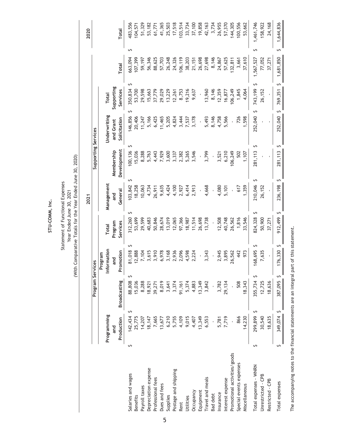STU-COMM, Inc. **STU-COMM, Inc.**

# Statement of Functional Expenses<br>Year Ended June 30, 2021<br>(With Comparative Totals for the Year Ended June 30, 2020) (With Comparative Totals for the Year Ended June 30, 2020) Statement of Functional Expenses Year Ended June 30, 2021

|   |                              |    |              |                     |              |              | 2021       |                     |                           |              |              | 2020          |  |
|---|------------------------------|----|--------------|---------------------|--------------|--------------|------------|---------------------|---------------------------|--------------|--------------|---------------|--|
|   |                              |    |              | Program Servi       | <b>GS</b>    |              |            | Supporting Services |                           |              |              |               |  |
|   |                              |    |              |                     | Program      |              |            |                     |                           |              |              |               |  |
|   |                              |    | Programming  |                     | Information  | Total        | Management |                     | Underwriting              | <b>Total</b> |              |               |  |
|   |                              |    | and          |                     | and          | Program      | and        | Membership          | and Grant                 | Supporting   |              |               |  |
|   |                              |    | Production   | <b>Broadcasting</b> | Promotion    | Services     | General    | Development         | Solicitation              | Services     | <b>Total</b> | <b>Total</b>  |  |
|   | Salaries and wages           | S  | Ş<br>142,434 | S<br>88,808         | \$<br>81,018 | 312,260      | 103,842    | S<br>00,136<br>S    | S<br>146,856              | S<br>350,834 | 663,094      | 483,556<br>\$ |  |
|   | <b>Benefits</b>              |    | 25,775       | 15,036              | 12,888       | 53,699       | 18,258     | 15,036              | 20,406                    | 53,700       | 107,399      | 104,571       |  |
|   | Payroll taxes                |    | 14,207       | 8,288               | 7,104        | 29,599       | 10,063     | 8,288               | 11,247                    | 29,598       | 59,197       | 51,329        |  |
|   | Depreciation expense         |    | 18,147       | 18,921              | 3,615        | 40,683       | 4,734      | 5,763               | 5,166                     | 15,663       | 56,346       | 53,182        |  |
|   | Professional fees            |    | 7,665        | 39,271              | 3,910        | 50,846       | 26,911     | 4,443               | 6,425                     | 37,779       | 88,625       | 61,771        |  |
| 5 | Dues and fees                |    | 13,677       | 8,019               | 6,978        | 28,674       | 9,635      | 7,929               | 11,465                    | 29,029       | 57,703       | 41,365        |  |
|   | Supplies                     |    | 6,210        | 3,641               | 3,168        | 13,019       | 4,424      | 3,600               | 5,205                     | 13,229       | 26,248       | 25,503        |  |
|   | Postage and shipping         |    | 5,755        | 3,374               | 2,936        | 12,065       | 4,100      | 3,337               | 4,824                     | 12,261       | 24,326       | 17,518        |  |
|   | Rent                         |    | 4,109        | 91,161              | 2,096        | 97,366       | 2,927      | 2,382               | 3,444                     | 8,753        | 106,119      | 103,514       |  |
|   | Utilities                    |    | 9,015        | 5,374               | 4,598        | 18,987       | 6,414      | 5,265               | 7,537                     | 19,216       | 38,203       | 33,734        |  |
|   | Occupancy                    |    | 4,407        | 4,883               | 2,224        | 11,514       | 2,913      | 3,546               | 3,178                     | 9,637        | 21,151       | 37,100        |  |
|   | Equipment                    |    | 13,349       | 13,349              |              | 26,698       |            |                     |                           |              | 26,698       | 19,858        |  |
|   | Travel and meals             |    | 6,553        | 3,842               | 3,343        | 13,738       | 4,668      | 3,799               | 5,493                     | 13,960       | 27,698       | 42,163        |  |
|   | <b>Bad debt</b>              |    | í            |                     |              |              |            | ,                   | 8,146                     | 8,146        | 8,146        | 3,734         |  |
|   | Insurance                    |    | 5,781        | 3,782               | 2,945        | 12,508       | 4,080      | 3,521               | 4,758                     | 12,359       | 24,867       | 26,955        |  |
|   | Interest expense             |    | 7,719        | 29,134              | 3,895        | 40,748       | 5,101      | 6,210               | 5,566                     | 16,877       | 57,625       | 57,370        |  |
|   | Promotional activities/goods |    |              |                     | 26,562       | 26,562       |            | 106,249             |                           | 106,249      | 132,811      | 144,305       |  |
|   | Special events expenses      |    | 866          | 508                 | 442          | 1,816        | 617        | 502                 | 726                       | 1,845        | 3,661        | 100,556       |  |
|   | Miscellaneous                |    | 14,230       | 18,343              | 973          | 33,546       | 1,359      | 1,107               | 1,598                     | 4,064        | 37,610       | 53,662        |  |
|   | Total expenses - WNRN        | 5  | S<br>299,899 | 355,734 \$          | S<br>168,695 | s<br>824,328 | 210,046    | S<br>281, 113<br>S  | $\mathfrak{o}$<br>252,040 | S<br>743,199 | 1,567,527    | 1,461,746     |  |
|   | Unrestricted - CPB           |    | 30,540       | 12,725              | 7,635        | 50,900       | 26,152     |                     |                           | 26,152       | 77,052       | 158,922       |  |
|   | Restricted - CPB             |    | 18,635       | 18,636              |              | 37,271       |            |                     |                           |              | 37,271       | 24,168        |  |
|   | Total expenses               | \$ | 349,074      | 387,095 \$          | 176,330      | 912,499      | 236,198    | 281,113<br>S        | S<br>252,040              | S<br>769,351 | 1,681,850    | 1,644,836     |  |
|   |                              |    |              |                     |              |              |            |                     |                           |              |              |               |  |

The accompanying notes to the financial statements are an integral part of this statement. The accompanying notes to the financial statements are an integral part of this statement.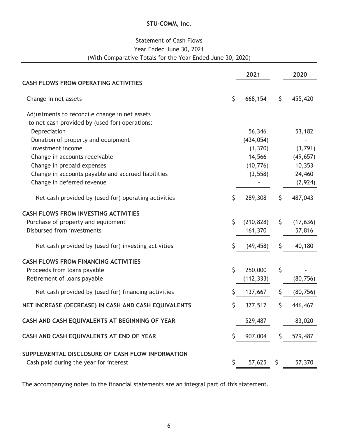# Statement of Cash Flows Year Ended June 30, 2021 (With Comparative Totals for the Year Ended June 30, 2020)

|                                                      |         | 2021       | 2020            |
|------------------------------------------------------|---------|------------|-----------------|
| <b>CASH FLOWS FROM OPERATING ACTIVITIES</b>          |         |            |                 |
| Change in net assets                                 | \$      | 668,154    | \$<br>455,420   |
| Adjustments to reconcile change in net assets        |         |            |                 |
| to net cash provided by (used for) operations:       |         |            |                 |
| Depreciation                                         |         | 56,346     | 53,182          |
| Donation of property and equipment                   |         | (434, 054) |                 |
| Investment income                                    |         | (1, 370)   | (3,791)         |
| Change in accounts receivable                        |         | 14,566     | (49, 657)       |
| Change in prepaid expenses                           |         | (10, 776)  | 10,353          |
| Change in accounts payable and accrued liabilities   |         | (3, 558)   | 24,460          |
| Change in deferred revenue                           |         |            | (2,924)         |
| Net cash provided by (used for) operating activities | Ś.      | 289,308    | \$<br>487,043   |
| <b>CASH FLOWS FROM INVESTING ACTIVITIES</b>          |         |            |                 |
| Purchase of property and equipment                   | \$      | (210, 828) | \$<br>(17, 636) |
| Disbursed from investments                           |         | 161,370    | 57,816          |
| Net cash provided by (used for) investing activities | \$      | (49, 458)  | \$<br>40,180    |
| <b>CASH FLOWS FROM FINANCING ACTIVITIES</b>          |         |            |                 |
| Proceeds from loans payable                          | $\zeta$ | 250,000    | \$              |
| Retirement of loans payable                          |         | (112, 333) | (80, 756)       |
| Net cash provided by (used for) financing activities | \$      | 137,667    | \$<br>(80, 756) |
| NET INCREASE (DECREASE) IN CASH AND CASH EQUIVALENTS | \$      | 377,517    | \$<br>446,467   |
| CASH AND CASH EQUIVALENTS AT BEGINNING OF YEAR       |         | 529,487    | 83,020          |
| CASH AND CASH EQUIVALENTS AT END OF YEAR             | \$      | 907,004    | \$<br>529,487   |
| SUPPLEMENTAL DISCLOSURE OF CASH FLOW INFORMATION     |         |            |                 |
| Cash paid during the year for interest               | \$      | 57,625     | \$<br>57,370    |

The accompanying notes to the financial statements are an integral part of this statement.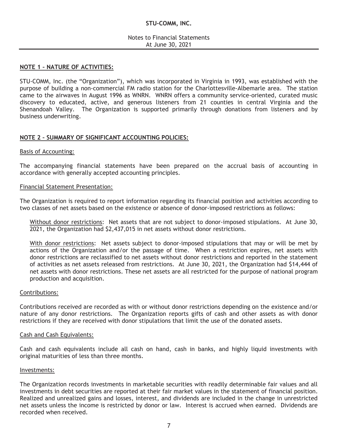# **STU-COMM, INC.**

#### **NOTE 1 – NATURE OF ACTIVITIES:**

STU-COMM, Inc. (the "Organization"), which was incorporated in Virginia in 1993, was established with the purpose of building a non-commercial FM radio station for the Charlottesville-Albemarle area. The station came to the airwaves in August 1996 as WNRN. WNRN offers a community service-oriented, curated music discovery to educated, active, and generous listeners from 21 counties in central Virginia and the Shenandoah Valley. The Organization is supported primarily through donations from listeners and by business underwriting.

# **NOTE 2 – SUMMARY OF SIGNIFICANT ACCOUNTING POLICIES:**

#### Basis of Accounting:

The accompanying financial statements have been prepared on the accrual basis of accounting in accordance with generally accepted accounting principles.

#### Financial Statement Presentation:

The Organization is required to report information regarding its financial position and activities according to two classes of net assets based on the existence or absence of donor-imposed restrictions as follows:

Without donor restrictions: Net assets that are not subject to donor-imposed stipulations. At June 30, 2021, the Organization had \$2,437,015 in net assets without donor restrictions.

With donor restrictions: Net assets subject to donor-imposed stipulations that may or will be met by actions of the Organization and/or the passage of time. When a restriction expires, net assets with donor restrictions are reclassified to net assets without donor restrictions and reported in the statement of activities as net assets released from restrictions. At June 30, 2021, the Organization had \$14,444 of net assets with donor restrictions. These net assets are all restricted for the purpose of national program production and acquisition.

#### Contributions:

Contributions received are recorded as with or without donor restrictions depending on the existence and/or nature of any donor restrictions. The Organization reports gifts of cash and other assets as with donor restrictions if they are received with donor stipulations that limit the use of the donated assets.

#### Cash and Cash Equivalents:

Cash and cash equivalents include all cash on hand, cash in banks, and highly liquid investments with original maturities of less than three months.

#### Investments:

The Organization records investments in marketable securities with readily determinable fair values and all investments in debt securities are reported at their fair market values in the statement of financial position. Realized and unrealized gains and losses, interest, and dividends are included in the change in unrestricted net assets unless the income is restricted by donor or law. Interest is accrued when earned. Dividends are recorded when received.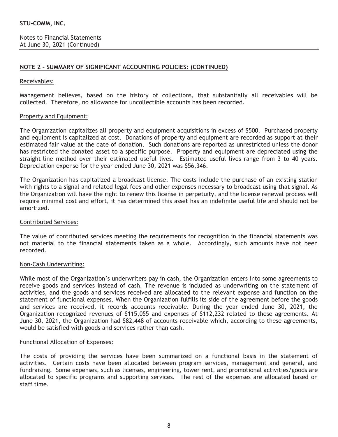# **NOTE 2 – SUMMARY OF SIGNIFICANT ACCOUNTING POLICIES: (CONTINUED)**

#### Receivables:

Management believes, based on the history of collections, that substantially all receivables will be collected. Therefore, no allowance for uncollectible accounts has been recorded.

#### Property and Equipment:

The Organization capitalizes all property and equipment acquisitions in excess of \$500. Purchased property and equipment is capitalized at cost. Donations of property and equipment are recorded as support at their estimated fair value at the date of donation. Such donations are reported as unrestricted unless the donor has restricted the donated asset to a specific purpose. Property and equipment are depreciated using the straight-line method over their estimated useful lives. Estimated useful lives range from 3 to 40 years. Depreciation expense for the year ended June 30, 2021 was \$56,346.

The Organization has capitalized a broadcast license. The costs include the purchase of an existing station with rights to a signal and related legal fees and other expenses necessary to broadcast using that signal. As the Organization will have the right to renew this license in perpetuity, and the license renewal process will require minimal cost and effort, it has determined this asset has an indefinite useful life and should not be amortized.

#### Contributed Services:

The value of contributed services meeting the requirements for recognition in the financial statements was not material to the financial statements taken as a whole. Accordingly, such amounts have not been recorded.

# Non-Cash Underwriting:

While most of the Organization's underwriters pay in cash, the Organization enters into some agreements to receive goods and services instead of cash. The revenue is included as underwriting on the statement of activities, and the goods and services received are allocated to the relevant expense and function on the statement of functional expenses. When the Organization fulfills its side of the agreement before the goods and services are received, it records accounts receivable. During the year ended June 30, 2021, the Organization recognized revenues of \$115,055 and expenses of \$112,232 related to these agreements. At June 30, 2021, the Organization had \$82,448 of accounts receivable which, according to these agreements, would be satisfied with goods and services rather than cash.

#### Functional Allocation of Expenses:

The costs of providing the services have been summarized on a functional basis in the statement of activities. Certain costs have been allocated between program services, management and general, and fundraising. Some expenses, such as licenses, engineering, tower rent, and promotional activities/goods are allocated to specific programs and supporting services. The rest of the expenses are allocated based on staff time.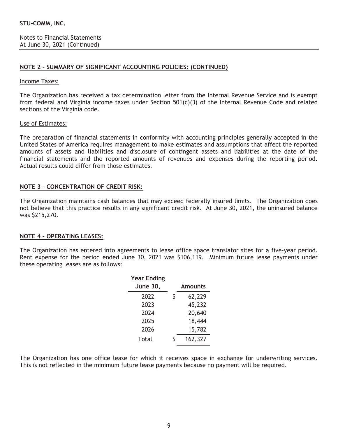# **NOTE 2 – SUMMARY OF SIGNIFICANT ACCOUNTING POLICIES: (CONTINUED)**

#### Income Taxes:

The Organization has received a tax determination letter from the Internal Revenue Service and is exempt from federal and Virginia income taxes under Section 501(c)(3) of the Internal Revenue Code and related sections of the Virginia code.

#### Use of Estimates:

The preparation of financial statements in conformity with accounting principles generally accepted in the United States of America requires management to make estimates and assumptions that affect the reported amounts of assets and liabilities and disclosure of contingent assets and liabilities at the date of the financial statements and the reported amounts of revenues and expenses during the reporting period. Actual results could differ from those estimates.

# **NOTE 3 – CONCENTRATION OF CREDIT RISK:**

The Organization maintains cash balances that may exceed federally insured limits. The Organization does not believe that this practice results in any significant credit risk. At June 30, 2021, the uninsured balance was \$215,270.

# **NOTE 4 – OPERATING LEASES:**

The Organization has entered into agreements to lease office space translator sites for a five-year period. Rent expense for the period ended June 30, 2021 was \$106,119. Minimum future lease payments under these operating leases are as follows:

| <b>Year Ending</b> |                |         |  |  |
|--------------------|----------------|---------|--|--|
| June 30,           | <b>Amounts</b> |         |  |  |
| 2022               | \$             | 62,229  |  |  |
| 2023               |                | 45,232  |  |  |
| 2024               |                | 20,640  |  |  |
| 2025               |                | 18,444  |  |  |
| 2026               |                | 15,782  |  |  |
| <b>Total</b>       | S              | 162,327 |  |  |

The Organization has one office lease for which it receives space in exchange for underwriting services. This is not reflected in the minimum future lease payments because no payment will be required.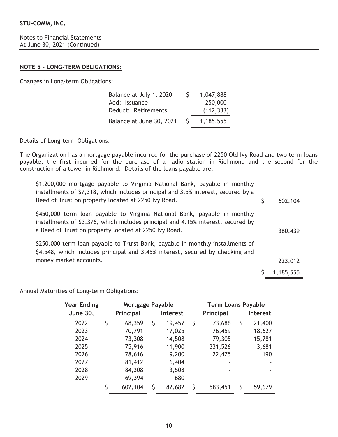# **NOTE 5 – LONG-TERM OBLIGATIONS:**

Changes in Long-term Obligations:

| Balance at July 1, 2020              | S            | 1,047,888             |
|--------------------------------------|--------------|-----------------------|
| Add: Issuance<br>Deduct: Retirements |              | 250,000<br>(112, 333) |
| Balance at June 30, 2021             | <sub>S</sub> | 1,185,555             |

#### Details of Long-term Obligations:

The Organization has a mortgage payable incurred for the purchase of 2250 Old Ivy Road and two term loans payable, the first incurred for the purchase of a radio station in Richmond and the second for the construction of a tower in Richmond. Details of the loans payable are:

| \$1,200,000 mortgage payable to Virginia National Bank, payable in monthly<br>installments of \$7,318, which includes principal and 3.5% interest, secured by a<br>Deed of Trust on property located at 2250 Ivy Road. | 602,104   |
|------------------------------------------------------------------------------------------------------------------------------------------------------------------------------------------------------------------------|-----------|
| \$450,000 term loan payable to Virginia National Bank, payable in monthly<br>installments of \$3,376, which includes principal and 4.15% interest, secured by<br>a Deed of Trust on property located at 2250 Ivy Road. | 360,439   |
| \$250,000 term loan payable to Truist Bank, payable in monthly installments of<br>\$4,548, which includes principal and 3.45% interest, secured by checking and<br>money market accounts.                              | 223,012   |
|                                                                                                                                                                                                                        | 1,185,555 |

# Annual Maturities of Long-term Obligations:

| <b>Year Ending</b> | <b>Mortgage Payable</b> |   |                 |    | <b>Term Loans Payable</b> |   |          |
|--------------------|-------------------------|---|-----------------|----|---------------------------|---|----------|
| <b>June 30,</b>    | Principal               |   | <b>Interest</b> |    | Principal                 |   | Interest |
| 2022               | 68,359                  | S | 19,457          | S  | 73,686                    | S | 21,400   |
| 2023               | 70,791                  |   | 17,025          |    | 76,459                    |   | 18,627   |
| 2024               | 73,308                  |   | 14,508          |    | 79,305                    |   | 15,781   |
| 2025               | 75,916                  |   | 11,900          |    | 331,526                   |   | 3,681    |
| 2026               | 78,616                  |   | 9,200           |    | 22,475                    |   | 190      |
| 2027               | 81,412                  |   | 6,404           |    | ۰                         |   |          |
| 2028               | 84,308                  |   | 3,508           |    |                           |   |          |
| 2029               | 69,394                  |   | 680             |    |                           |   |          |
|                    | 602,104                 | S | 82,682          | \$ | 583,451                   | Ś | 59,679   |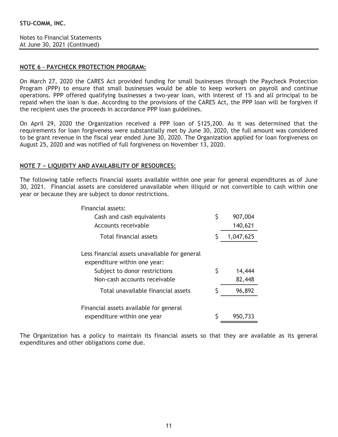#### **NOTE 6 – PAYCHECK PROTECTION PROGRAM:**

On March 27, 2020 the CARES Act provided funding for small businesses through the Paycheck Protection Program (PPP) to ensure that small businesses would be able to keep workers on payroll and continue operations. PPP offered qualifying businesses a two-year loan, with interest of 1% and all principal to be repaid when the loan is due. According to the provisions of the CARES Act, the PPP loan will be forgiven if the recipient uses the proceeds in accordance PPP loan guidelines.

On April 29, 2020 the Organization received a PPP loan of \$125,200. As it was determined that the requirements for loan forgiveness were substantially met by June 30, 2020, the full amount was considered to be grant revenue in the fiscal year ended June 30, 2020. The Organization applied for loan forgiveness on August 25, 2020 and was notified of full forgiveness on November 13, 2020.

# **NOTE 7 î LIQUIDITY AND AVAILABILITY OF RESOURCES:**

The following table reflects financial assets available within one year for general expenditures as of June 30, 2021. Financial assets are considered unavailable when illiquid or not convertible to cash within one year or because they are subject to donor restrictions.

| Financial assets:                                                             |    |           |
|-------------------------------------------------------------------------------|----|-----------|
| Cash and cash equivalents                                                     | S  | 907,004   |
| Accounts receivable                                                           |    | 140,621   |
| Total financial assets                                                        | \$ | 1,047,625 |
| Less financial assets unavailable for general<br>expenditure within one year: |    |           |
| Subject to donor restrictions                                                 | S  | 14,444    |
| Non-cash accounts receivable                                                  |    | 82,448    |
| Total unavailable financial assets                                            | Ś  | 96,892    |
| Financial assets available for general                                        |    |           |
| expenditure within one year                                                   | S  | 950,733   |

The Organization has a policy to maintain its financial assets so that they are available as its general expenditures and other obligations come due.